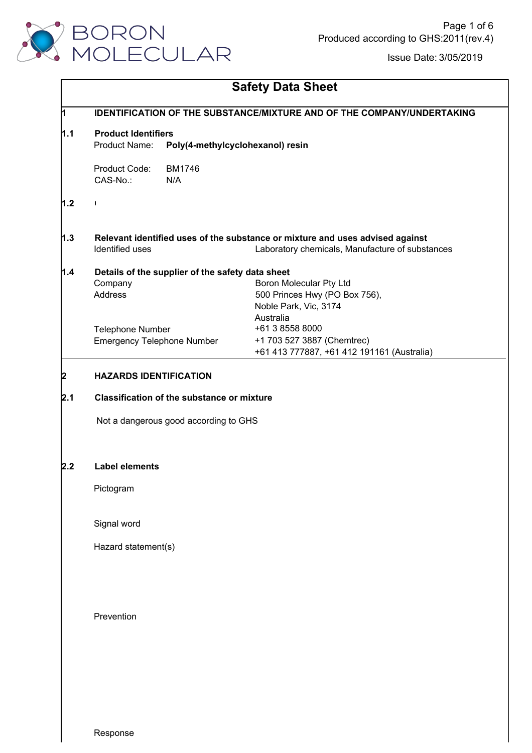

| <b>Safety Data Sheet</b> |  |  |  |
|--------------------------|--|--|--|
|--------------------------|--|--|--|

| 1   |                                                   | <b>IDENTIFICATION OF THE SUBSTANCE/MIXTURE AND OF THE COMPANY/UNDERTAKING</b> |  |  |  |  |  |  |
|-----|---------------------------------------------------|-------------------------------------------------------------------------------|--|--|--|--|--|--|
| 1.1 | <b>Product Identifiers</b>                        |                                                                               |  |  |  |  |  |  |
|     | Product Name:<br>Poly(4-methylcyclohexanol) resin |                                                                               |  |  |  |  |  |  |
|     | Product Code:<br><b>BM1746</b>                    |                                                                               |  |  |  |  |  |  |
|     | CAS-No.:<br>N/A                                   |                                                                               |  |  |  |  |  |  |
| 1.2 | $\overline{\phantom{a}}$                          |                                                                               |  |  |  |  |  |  |
| 1.3 |                                                   | Relevant identified uses of the substance or mixture and uses advised against |  |  |  |  |  |  |
|     | Identified uses                                   | Laboratory chemicals, Manufacture of substances                               |  |  |  |  |  |  |
| 1.4 | Details of the supplier of the safety data sheet  |                                                                               |  |  |  |  |  |  |
|     | Company                                           | <b>Boron Molecular Pty Ltd</b>                                                |  |  |  |  |  |  |
|     | <b>Address</b>                                    | 500 Princes Hwy (PO Box 756),                                                 |  |  |  |  |  |  |
|     |                                                   | Noble Park, Vic, 3174                                                         |  |  |  |  |  |  |
|     |                                                   | Australia                                                                     |  |  |  |  |  |  |
|     | Telephone Number                                  | +61 3 8558 8000                                                               |  |  |  |  |  |  |
|     | <b>Emergency Telephone Number</b>                 | +1 703 527 3887 (Chemtrec)                                                    |  |  |  |  |  |  |
|     |                                                   | +61 413 777887, +61 412 191161 (Australia)                                    |  |  |  |  |  |  |
| 12  | <b>HAZARDS IDENTIFICATION</b>                     |                                                                               |  |  |  |  |  |  |
| 2.1 |                                                   | <b>Classification of the substance or mixture</b>                             |  |  |  |  |  |  |
|     | Not a dangerous good according to GHS             |                                                                               |  |  |  |  |  |  |
| 2.2 | <b>Label elements</b>                             |                                                                               |  |  |  |  |  |  |
|     | Pictogram                                         |                                                                               |  |  |  |  |  |  |
|     | Signal word                                       |                                                                               |  |  |  |  |  |  |
|     | Hazard statement(s)                               |                                                                               |  |  |  |  |  |  |
|     |                                                   |                                                                               |  |  |  |  |  |  |
|     | Prevention                                        |                                                                               |  |  |  |  |  |  |
|     |                                                   |                                                                               |  |  |  |  |  |  |
|     |                                                   |                                                                               |  |  |  |  |  |  |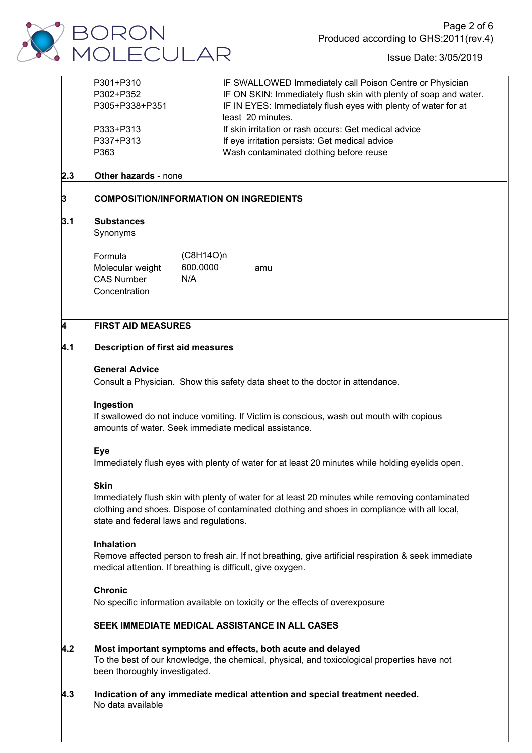

| P301+P310      | IF SWALLOWED Immediately call Poison Centre or Physician          |
|----------------|-------------------------------------------------------------------|
| P302+P352      | IF ON SKIN: Immediately flush skin with plenty of soap and water. |
| P305+P338+P351 | IF IN EYES: Immediately flush eyes with plenty of water for at    |
|                | least 20 minutes.                                                 |
| P333+P313      | If skin irritation or rash occurs: Get medical advice             |
| P337+P313      | If eye irritation persists: Get medical advice                    |
| P363           | Wash contaminated clothing before reuse                           |
|                |                                                                   |

## **2.3 Other hazards** - none

# **3 COMPOSITION/INFORMATION ON INGREDIENTS**

## **3.1 Substances**

Synonyms

| Formula<br>Molecular weight | $(C8H14O)$ n<br>600.0000 | amu |
|-----------------------------|--------------------------|-----|
| <b>CAS Number</b>           | N/A                      |     |
| Concentration               |                          |     |

## **4 FIRST AID MEASURES**

## **4.1 Description of first aid measures**

#### **General Advice**

Consult a Physician. Show this safety data sheet to the doctor in attendance.

#### **Ingestion**

If swallowed do not induce vomiting. If Victim is conscious, wash out mouth with copious amounts of water. Seek immediate medical assistance.

## **Eye**

Immediately flush eyes with plenty of water for at least 20 minutes while holding eyelids open.

## **Skin**

Immediately flush skin with plenty of water for at least 20 minutes while removing contaminated clothing and shoes. Dispose of contaminated clothing and shoes in compliance with all local, state and federal laws and regulations.

## **Inhalation**

Remove affected person to fresh air. If not breathing, give artificial respiration & seek immediate medical attention. If breathing is difficult, give oxygen.

## **Chronic**

No specific information available on toxicity or the effects of overexposure

## **SEEK IMMEDIATE MEDICAL ASSISTANCE IN ALL CASES**

# **4.2 Most important symptoms and effects, both acute and delayed** To the best of our knowledge, the chemical, physical, and toxicological properties have not been thoroughly investigated.

**4.3 Indication of any immediate medical attention and special treatment needed.** No data available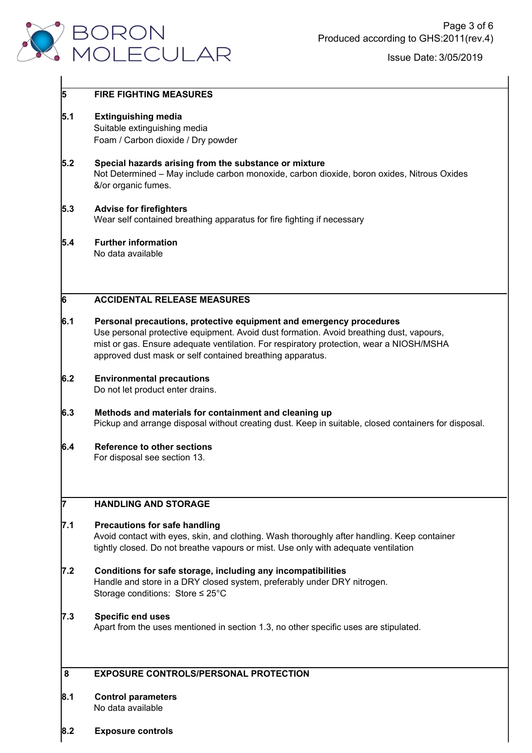

# **5 FIRE FIGHTING MEASURES 5.1 Extinguishing media** Suitable extinguishing media Foam / Carbon dioxide / Dry powder **5.2 Special hazards arising from the substance or mixture** Not Determined – May include carbon monoxide, carbon dioxide, boron oxides, Nitrous Oxides &/or organic fumes. **5.3 Advise for firefighters** Wear self contained breathing apparatus for fire fighting if necessary **5.4 Further information** No data available **6 ACCIDENTAL RELEASE MEASURES 6.1 Personal precautions, protective equipment and emergency procedures** Use personal protective equipment. Avoid dust formation. Avoid breathing dust, vapours, mist or gas. Ensure adequate ventilation. For respiratory protection, wear a NIOSH/MSHA approved dust mask or self contained breathing apparatus. **6.2 Environmental precautions** Do not let product enter drains. **6.3 Methods and materials for containment and cleaning up** Pickup and arrange disposal without creating dust. Keep in suitable, closed containers for disposal. **6.4 Reference to other sections** For disposal see section 13. **7 HANDLING AND STORAGE 7.1 Precautions for safe handling** Avoid contact with eyes, skin, and clothing. Wash thoroughly after handling. Keep container tightly closed. Do not breathe vapours or mist. Use only with adequate ventilation **7.2 Conditions for safe storage, including any incompatibilities** Handle and store in a DRY closed system, preferably under DRY nitrogen. Storage conditions: Store ≤ 25°C**7.3 Specific end uses** Apart from the uses mentioned in section 1.3, no other specific uses are stipulated. **8 EXPOSURE CONTROLS/PERSONAL PROTECTION 8.1 Control parameters** No data available

**8.2 Exposure controls**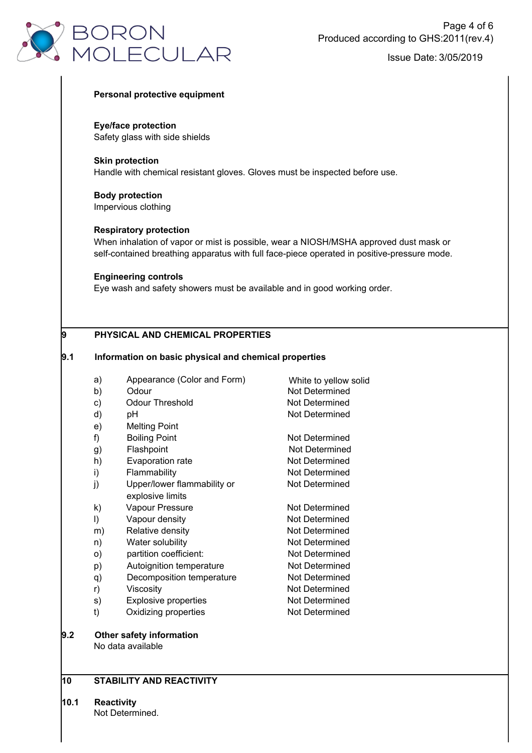

#### **Personal protective equipment**

**Eye/face protection** Safety glass with side shields

**Skin protection** Handle with chemical resistant gloves. Gloves must be inspected before use.

**Body protection** Impervious clothing

#### **Respiratory protection**

When inhalation of vapor or mist is possible, wear a NIOSH/MSHA approved dust mask or self-contained breathing apparatus with full face-piece operated in positive-pressure mode.

White to yellow solid

Not Determined

#### **Engineering controls**

Eye wash and safety showers must be available and in good working order.

## **9 PHYSICAL AND CHEMICAL PROPERTIES**

#### **9.1 Information on basic physical and chemical properties**

- a) Appearance (Color and Form)
- b) Odour Not Determined
- c) Odour Threshold Not Determined
- d) pH Not Determined
- e) Melting Point
- f) Boiling Point Not Determined
- g) Flashpoint
- h) Evaporation rate Not Determined
- i) Flammability **Not Determined**
- j) Upper/lower flammability or Not Determined explosive limits
- k) Vapour Pressure Not Determined
- l) Vapour density Not Determined
- m) Relative density **Not Determined**
- n) Water solubility Not Determined
- o) partition coefficient: Not Determined
- p) Autoignition temperature Not Determined
- q) Decomposition temperature Not Determined
- r) Viscosity **Viscosity** Viscosity **Not Determined**
- s) Explosive properties Not Determined
- t) Oxidizing properties Not Determined
- **9.2 Other safety information** No data available

## **10 STABILITY AND REACTIVITY**

**10.1 Reactivity**

Not Determined.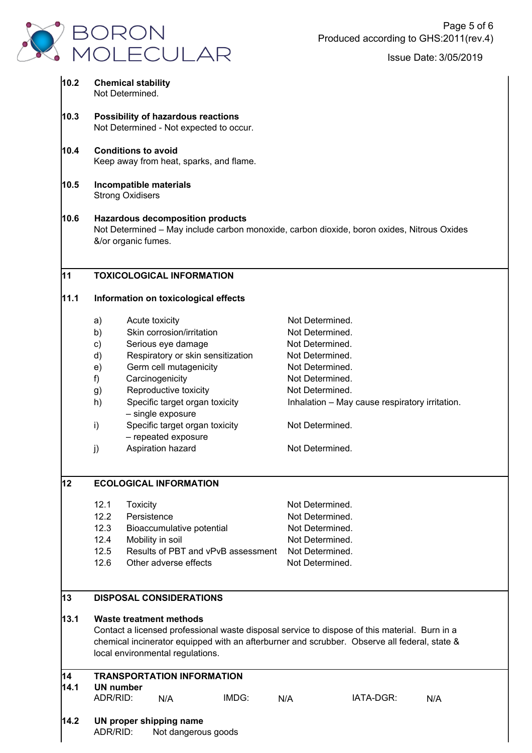

| 10.2 |                                                                                                                                                              | <b>Chemical stability</b><br>Not Determined. |                                                       |                                    |                                    |                                                                                              |     |  |
|------|--------------------------------------------------------------------------------------------------------------------------------------------------------------|----------------------------------------------|-------------------------------------------------------|------------------------------------|------------------------------------|----------------------------------------------------------------------------------------------|-----|--|
| 10.3 | Possibility of hazardous reactions<br>Not Determined - Not expected to occur.                                                                                |                                              |                                                       |                                    |                                    |                                                                                              |     |  |
| 10.4 | <b>Conditions to avoid</b><br>Keep away from heat, sparks, and flame.                                                                                        |                                              |                                                       |                                    |                                    |                                                                                              |     |  |
|      |                                                                                                                                                              |                                              |                                                       |                                    |                                    |                                                                                              |     |  |
| 10.5 |                                                                                                                                                              | <b>Strong Oxidisers</b>                      | Incompatible materials                                |                                    |                                    |                                                                                              |     |  |
| 10.6 | <b>Hazardous decomposition products</b><br>Not Determined - May include carbon monoxide, carbon dioxide, boron oxides, Nitrous Oxides<br>&/or organic fumes. |                                              |                                                       |                                    |                                    |                                                                                              |     |  |
| 11   |                                                                                                                                                              |                                              | <b>TOXICOLOGICAL INFORMATION</b>                      |                                    |                                    |                                                                                              |     |  |
| 11.1 | Information on toxicological effects                                                                                                                         |                                              |                                                       |                                    |                                    |                                                                                              |     |  |
|      | a)                                                                                                                                                           | Acute toxicity                               |                                                       |                                    | Not Determined.                    |                                                                                              |     |  |
|      | b)                                                                                                                                                           |                                              | Skin corrosion/irritation                             |                                    | Not Determined.                    |                                                                                              |     |  |
|      | c)                                                                                                                                                           |                                              | Serious eye damage                                    |                                    | Not Determined.                    |                                                                                              |     |  |
|      | d)                                                                                                                                                           |                                              | Respiratory or skin sensitization                     |                                    | Not Determined.                    |                                                                                              |     |  |
|      | e)                                                                                                                                                           |                                              | Germ cell mutagenicity                                |                                    | Not Determined.                    |                                                                                              |     |  |
|      | f)                                                                                                                                                           |                                              | Carcinogenicity                                       |                                    | Not Determined.                    |                                                                                              |     |  |
|      | g)                                                                                                                                                           |                                              | Reproductive toxicity                                 |                                    | Not Determined.                    |                                                                                              |     |  |
|      | h)                                                                                                                                                           |                                              | Specific target organ toxicity<br>- single exposure   |                                    |                                    | Inhalation - May cause respiratory irritation.                                               |     |  |
|      | i)                                                                                                                                                           |                                              | Specific target organ toxicity<br>- repeated exposure |                                    | Not Determined.                    |                                                                                              |     |  |
|      | j)                                                                                                                                                           |                                              | Aspiration hazard                                     |                                    | Not Determined.                    |                                                                                              |     |  |
| 12   | <b>ECOLOGICAL INFORMATION</b>                                                                                                                                |                                              |                                                       |                                    |                                    |                                                                                              |     |  |
|      | 12.1                                                                                                                                                         | <b>Toxicity</b>                              |                                                       |                                    | Not Determined.                    |                                                                                              |     |  |
|      | 12.2                                                                                                                                                         | Persistence                                  |                                                       |                                    | Not Determined.                    |                                                                                              |     |  |
|      | 12.3                                                                                                                                                         |                                              | Bioaccumulative potential                             |                                    | Not Determined.                    |                                                                                              |     |  |
|      | 12.4                                                                                                                                                         |                                              | Mobility in soil                                      |                                    | Not Determined.                    |                                                                                              |     |  |
|      | 12.5<br>12.6                                                                                                                                                 |                                              | Other adverse effects                                 | Results of PBT and vPvB assessment | Not Determined.<br>Not Determined. |                                                                                              |     |  |
|      |                                                                                                                                                              |                                              |                                                       |                                    |                                    |                                                                                              |     |  |
| 13   | <b>DISPOSAL CONSIDERATIONS</b>                                                                                                                               |                                              |                                                       |                                    |                                    |                                                                                              |     |  |
| 13.1 |                                                                                                                                                              |                                              | Waste treatment methods                               |                                    |                                    |                                                                                              |     |  |
|      | Contact a licensed professional waste disposal service to dispose of this material. Burn in a                                                                |                                              |                                                       |                                    |                                    |                                                                                              |     |  |
|      |                                                                                                                                                              |                                              | local environmental regulations.                      |                                    |                                    | chemical incinerator equipped with an afterburner and scrubber. Observe all federal, state & |     |  |
| 14   |                                                                                                                                                              |                                              | <b>TRANSPORTATION INFORMATION</b>                     |                                    |                                    |                                                                                              |     |  |
| 14.1 | <b>UN number</b>                                                                                                                                             |                                              |                                                       |                                    |                                    |                                                                                              |     |  |
|      | ADR/RID:                                                                                                                                                     |                                              | N/A                                                   | IMDG:                              | N/A                                | IATA-DGR:                                                                                    | N/A |  |
|      |                                                                                                                                                              |                                              |                                                       |                                    |                                    |                                                                                              |     |  |
| 14.2 |                                                                                                                                                              |                                              | UN proper shipping name                               |                                    |                                    |                                                                                              |     |  |